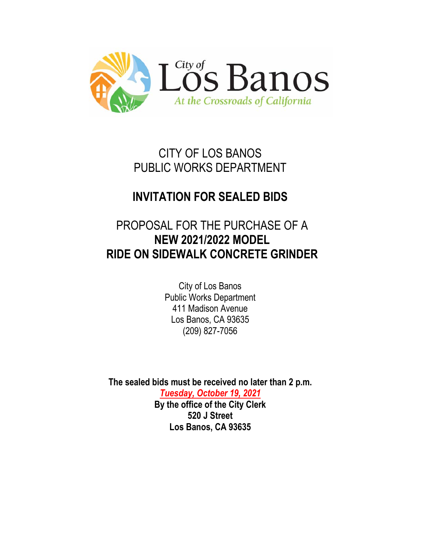

CITY OF LOS BANOS PUBLIC WORKS DEPARTMENT

# **INVITATION FOR SEALED BIDS**

# PROPOSAL FOR THE PURCHASE OF A **NEW 2021/2022 MODEL RIDE ON SIDEWALK CONCRETE GRINDER**

City of Los Banos Public Works Department 411 Madison Avenue Los Banos, CA 93635 (209) 827-7056

**The sealed bids must be received no later than 2 p.m.**

*Tuesday, October 19, 2021* **By the office of the City Clerk 520 J Street Los Banos, CA 93635**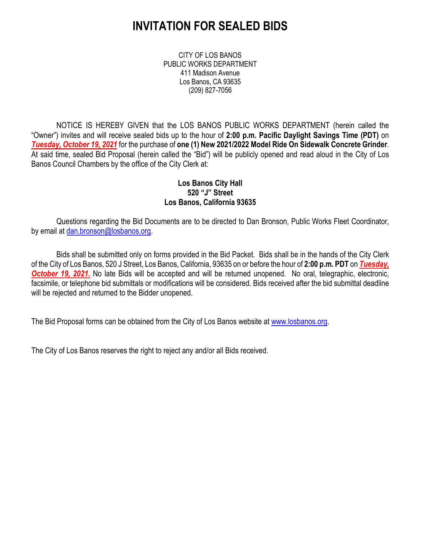## **INVITATION FOR SEALED BIDS**

CITY OF LOS BANOS PUBLIC WORKS DEPARTMENT 411 Madison Avenue Los Banos, CA 93635 (209) 827-7056

NOTICE IS HEREBY GIVEN that the LOS BANOS PUBLIC WORKS DEPARTMENT (herein called the "Owner") invites and will receive sealed bids up to the hour of **2:00 p.m. Pacific Daylight Savings Time (PDT)** on *Tuesday, October 19, 2021* for the purchase of **one (1) New 2021/2022 Model Ride On Sidewalk Concrete Grinder**. At said time, sealed Bid Proposal (herein called the "Bid") will be publicly opened and read aloud in the City of Los Banos Council Chambers by the office of the City Clerk at:

### **Los Banos City Hall 520 "J" Street Los Banos, California 93635**

Questions regarding the Bid Documents are to be directed to Dan Bronson, Public Works Fleet Coordinator, by email at [dan.bronson@losbanos.org.](mailto:dan.bronson@losbanos.org)

Bids shall be submitted only on forms provided in the Bid Packet. Bids shall be in the hands of the City Clerk of the City of Los Banos, 520 J Street, Los Banos, California, 93635 on or before the hour of **2:00 p.m. PDT** on *Tuesday,*  **October 19, 2021.** No late Bids will be accepted and will be returned unopened. No oral, telegraphic, electronic, facsimile, or telephone bid submittals or modifications will be considered. Bids received after the bid submittal deadline will be rejected and returned to the Bidder unopened.

The Bid Proposal forms can be obtained from the City of Los Banos website at [www.losbanos.org.](file://MADPUBSVR/PUBWORKS/Gary/CMAQ%20-%20Sweepers/www.losbanos.org)

The City of Los Banos reserves the right to reject any and/or all Bids received.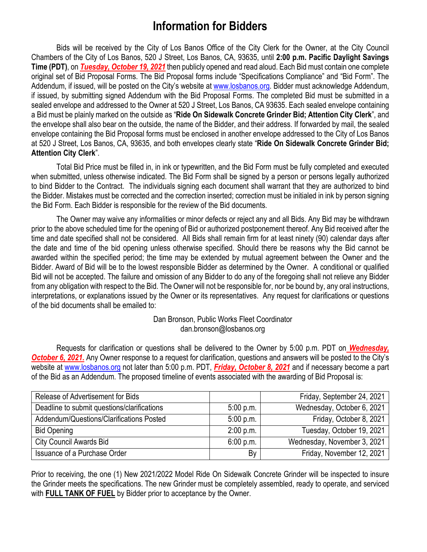## **Information for Bidders**

Bids will be received by the City of Los Banos Office of the City Clerk for the Owner, at the City Council Chambers of the City of Los Banos, 520 J Street, Los Banos, CA, 93635, until **2:00 p.m. Pacific Daylight Savings Time (PDT)**, on *Tuesday, October 19, 2021* then publicly opened and read aloud. Each Bid must contain one complete original set of Bid Proposal Forms. The Bid Proposal forms include "Specifications Compliance" and "Bid Form". The Addendum, if issued, will be posted on the City's website at [www.losbanos.org.](http://www.losbanos.org/) Bidder must acknowledge Addendum, if issued, by submitting signed Addendum with the Bid Proposal Forms. The completed Bid must be submitted in a sealed envelope and addressed to the Owner at 520 J Street, Los Banos, CA 93635. Each sealed envelope containing a Bid must be plainly marked on the outside as "**Ride On Sidewalk Concrete Grinder Bid; Attention City Clerk**", and the envelope shall also bear on the outside, the name of the Bidder, and their address. If forwarded by mail, the sealed envelope containing the Bid Proposal forms must be enclosed in another envelope addressed to the City of Los Banos at 520 J Street, Los Banos, CA, 93635, and both envelopes clearly state "**Ride On Sidewalk Concrete Grinder Bid; Attention City Clerk**".

Total Bid Price must be filled in, in ink or typewritten, and the Bid Form must be fully completed and executed when submitted, unless otherwise indicated. The Bid Form shall be signed by a person or persons legally authorized to bind Bidder to the Contract. The individuals signing each document shall warrant that they are authorized to bind the Bidder. Mistakes must be corrected and the correction inserted; correction must be initialed in ink by person signing the Bid Form. Each Bidder is responsible for the review of the Bid documents.

The Owner may waive any informalities or minor defects or reject any and all Bids. Any Bid may be withdrawn prior to the above scheduled time for the opening of Bid or authorized postponement thereof. Any Bid received after the time and date specified shall not be considered. All Bids shall remain firm for at least ninety (90) calendar days after the date and time of the bid opening unless otherwise specified. Should there be reasons why the Bid cannot be awarded within the specified period; the time may be extended by mutual agreement between the Owner and the Bidder. Award of Bid will be to the lowest responsible Bidder as determined by the Owner. A conditional or qualified Bid will not be accepted. The failure and omission of any Bidder to do any of the foregoing shall not relieve any Bidder from any obligation with respect to the Bid. The Owner will not be responsible for, nor be bound by, any oral instructions, interpretations, or explanations issued by the Owner or its representatives. Any request for clarifications or questions of the bid documents shall be emailed to:

> Dan Bronson, Public Works Fleet Coordinator dan.bronson@losbanos.org

Requests for clarification or questions shall be delivered to the Owner by 5:00 p.m. PDT on *Wednesday,*  **October 6, 2021.** Any Owner response to a request for clarification, questions and answers will be posted to the City's website at [www.losbanos.org](http://www.losbanos.org/) not later than 5:00 p.m. PDT, *Friday, October 8, 2021* and if necessary become a part of the Bid as an Addendum. The proposed timeline of events associated with the awarding of Bid Proposal is:

| Release of Advertisement for Bids           |           | Friday, September 24, 2021  |
|---------------------------------------------|-----------|-----------------------------|
| Deadline to submit questions/clarifications | 5:00 p.m. | Wednesday, October 6, 2021  |
| Addendum/Questions/Clarifications Posted    | 5:00 p.m. | Friday, October 8, 2021     |
| <b>Bid Opening</b>                          | 2:00 p.m. | Tuesday, October 19, 2021   |
| <b>City Council Awards Bid</b>              | 6:00 p.m. | Wednesday, November 3, 2021 |
| Issuance of a Purchase Order                | By        | Friday, November 12, 2021   |

Prior to receiving, the one (1) New 2021/2022 Model Ride On Sidewalk Concrete Grinder will be inspected to insure the Grinder meets the specifications. The new Grinder must be completely assembled, ready to operate, and serviced with **FULL TANK OF FUEL** by Bidder prior to acceptance by the Owner.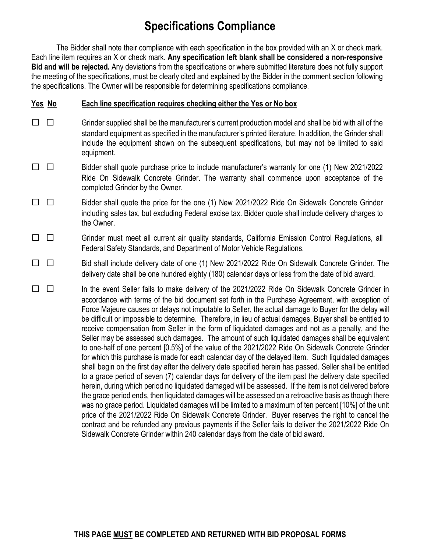## **Specifications Compliance**

The Bidder shall note their compliance with each specification in the box provided with an X or check mark. Each line item requires an X or check mark. **Any specification left blank shall be considered a non-responsive Bid and will be rejected.** Any deviations from the specifications or where submitted literature does not fully support the meeting of the specifications, must be clearly cited and explained by the Bidder in the comment section following the specifications. The Owner will be responsible for determining specifications compliance.

### **Yes No Each line specification requires checking either the Yes or No box**

- □ □ Grinder supplied shall be the manufacturer's current production model and shall be bid with all of the standard equipment as specified in the manufacturer's printed literature. In addition, the Grinder shall include the equipment shown on the subsequent specifications, but may not be limited to said equipment.
- □ □ Bidder shall quote purchase price to include manufacturer's warranty for one (1) New 2021/2022 Ride On Sidewalk Concrete Grinder. The warranty shall commence upon acceptance of the completed Grinder by the Owner.
- □ □ Bidder shall quote the price for the one (1) New 2021/2022 Ride On Sidewalk Concrete Grinder including sales tax, but excluding Federal excise tax. Bidder quote shall include delivery charges to the Owner.
- □ □ Grinder must meet all current air quality standards, California Emission Control Regulations, all Federal Safety Standards, and Department of Motor Vehicle Regulations.
- □ □ Bid shall include delivery date of one (1) New 2021/2022 Ride On Sidewalk Concrete Grinder. The delivery date shall be one hundred eighty (180) calendar days or less from the date of bid award.

□ □ In the event Seller fails to make delivery of the 2021/2022 Ride On Sidewalk Concrete Grinder in accordance with terms of the bid document set forth in the Purchase Agreement, with exception of Force Majeure causes or delays not imputable to Seller, the actual damage to Buyer for the delay will be difficult or impossible to determine. Therefore, in lieu of actual damages, Buyer shall be entitled to receive compensation from Seller in the form of liquidated damages and not as a penalty, and the Seller may be assessed such damages. The amount of such liquidated damages shall be equivalent to one-half of one percent [0.5%] of the value of the 2021/2022 Ride On Sidewalk Concrete Grinder for which this purchase is made for each calendar day of the delayed item. Such liquidated damages shall begin on the first day after the delivery date specified herein has passed. Seller shall be entitled to a grace period of seven (7) calendar days for delivery of the item past the delivery date specified herein, during which period no liquidated damaged will be assessed. If the item is not delivered before the grace period ends, then liquidated damages will be assessed on a retroactive basis as though there was no grace period. Liquidated damages will be limited to a maximum of ten percent [10%] of the unit price of the 2021/2022 Ride On Sidewalk Concrete Grinder.Buyer reserves the right to cancel the contract and be refunded any previous payments if the Seller fails to deliver the 2021/2022 Ride On Sidewalk Concrete Grinder within 240 calendar days from the date of bid award.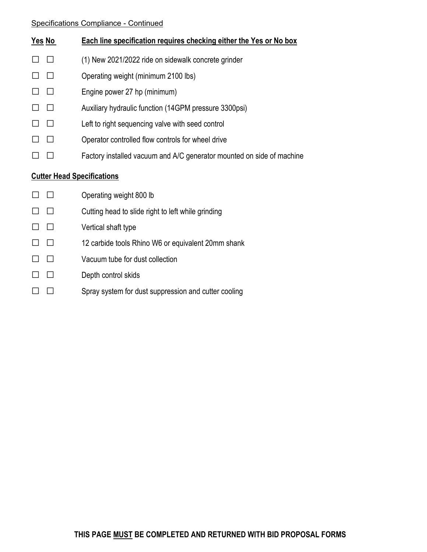### Specifications Compliance - Continued

|                                   | <u>Yes No</u> | Each line specification requires checking either the Yes or No box    |  |
|-----------------------------------|---------------|-----------------------------------------------------------------------|--|
|                                   | П             | (1) New 2021/2022 ride on sidewalk concrete grinder                   |  |
|                                   |               | Operating weight (minimum 2100 lbs)                                   |  |
|                                   |               | Engine power 27 hp (minimum)                                          |  |
|                                   |               | Auxiliary hydraulic function (14GPM pressure 3300psi)                 |  |
|                                   |               | Left to right sequencing valve with seed control                      |  |
|                                   | $\Box$        | Operator controlled flow controls for wheel drive                     |  |
|                                   |               | Factory installed vacuum and A/C generator mounted on side of machine |  |
| <b>Cutter Head Specifications</b> |               |                                                                       |  |
|                                   |               | Operating weight 800 lb                                               |  |
|                                   | $\perp$       | Cutting head to slide right to left while grinding                    |  |
|                                   | $\perp$       | Vertical shaft type                                                   |  |
|                                   |               | 12 carbide tools Rhino W6 or equivalent 20mm shank                    |  |
|                                   |               | Vacuum tube for dust collection                                       |  |
|                                   |               | Depth control skids                                                   |  |
|                                   |               | Spray system for dust suppression and cutter cooling                  |  |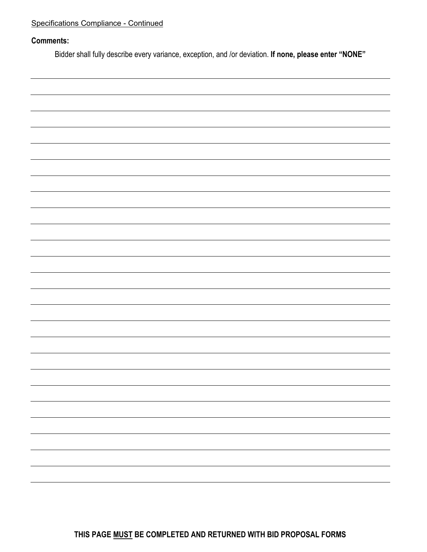### **Comments:**

Bidder shall fully describe every variance, exception, and /or deviation. **If none, please enter "NONE"**